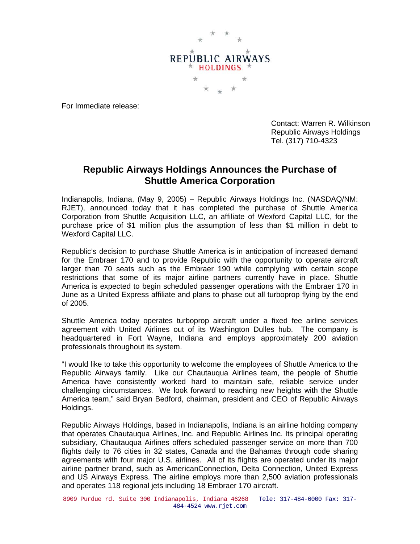

For Immediate release:

Contact: Warren R. Wilkinson Republic Airways Holdings Tel. (317) 710-4323

## **Republic Airways Holdings Announces the Purchase of Shuttle America Corporation**

Indianapolis, Indiana, (May 9, 2005) – Republic Airways Holdings Inc. (NASDAQ/NM: RJET), announced today that it has completed the purchase of Shuttle America Corporation from Shuttle Acquisition LLC, an affiliate of Wexford Capital LLC, for the purchase price of \$1 million plus the assumption of less than \$1 million in debt to Wexford Capital LLC.

Republic's decision to purchase Shuttle America is in anticipation of increased demand for the Embraer 170 and to provide Republic with the opportunity to operate aircraft larger than 70 seats such as the Embraer 190 while complying with certain scope restrictions that some of its major airline partners currently have in place. Shuttle America is expected to begin scheduled passenger operations with the Embraer 170 in June as a United Express affiliate and plans to phase out all turboprop flying by the end of 2005.

Shuttle America today operates turboprop aircraft under a fixed fee airline services agreement with United Airlines out of its Washington Dulles hub. The company is headquartered in Fort Wayne, Indiana and employs approximately 200 aviation professionals throughout its system.

"I would like to take this opportunity to welcome the employees of Shuttle America to the Republic Airways family. Like our Chautauqua Airlines team, the people of Shuttle America have consistently worked hard to maintain safe, reliable service under challenging circumstances. We look forward to reaching new heights with the Shuttle America team," said Bryan Bedford, chairman, president and CEO of Republic Airways Holdings.

Republic Airways Holdings, based in Indianapolis, Indiana is an airline holding company that operates Chautauqua Airlines, Inc. and Republic Airlines Inc. Its principal operating subsidiary, Chautauqua Airlines offers scheduled passenger service on more than 700 flights daily to 76 cities in 32 states, Canada and the Bahamas through code sharing agreements with four major U.S. airlines. All of its flights are operated under its major airline partner brand, such as AmericanConnection, Delta Connection, United Express and US Airways Express. The airline employs more than 2,500 aviation professionals and operates 118 regional jets including 18 Embraer 170 aircraft.